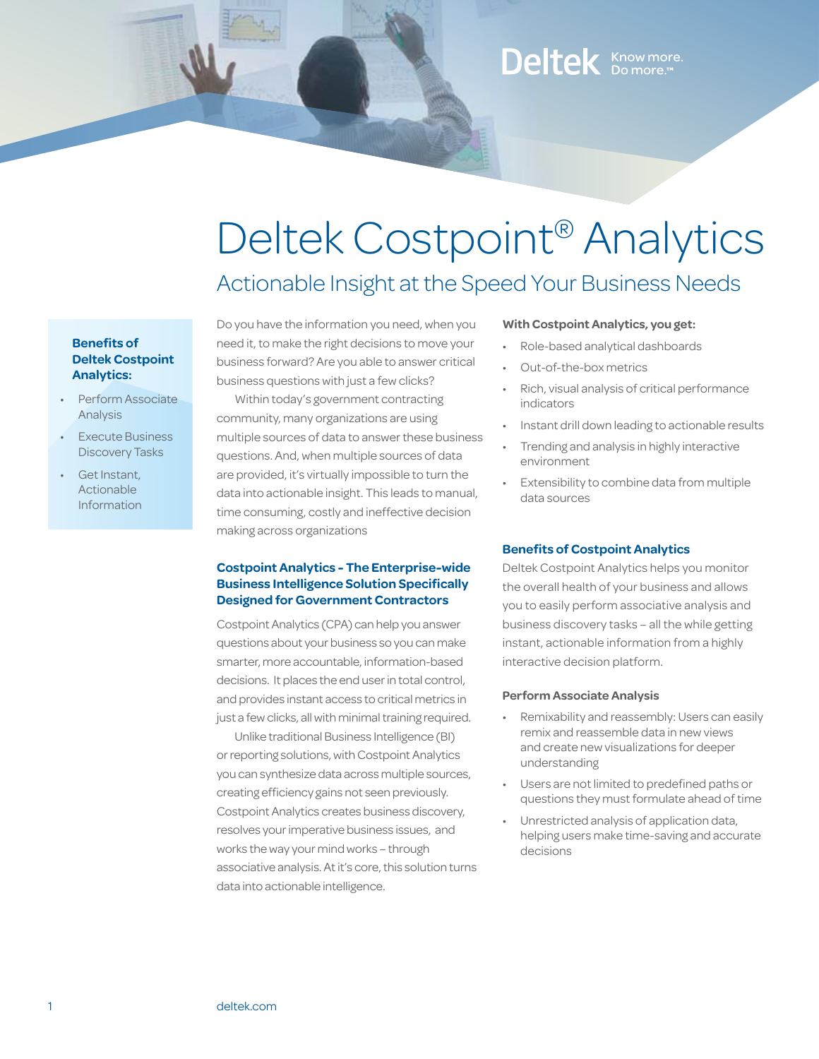### Deltek Know more.

# Deltek Costpoint® Analytics

### Actionable Insight at the Speed Your Business Needs

### **Benefits of Deltek Costpoint Analytics:**

- Perform Associate **Analysis**
- **Execute Business** Discovery Tasks
- Get Instant, Actionable Information

Do you have the information you need, when you need it, to make the right decisions to move your business forward? Are you able to answer critical business questions with just a few clicks?

Within today's government contracting community, many organizations are using multiple sources of data to answer these business questions. And, when multiple sources of data are provided, it's virtually impossible to turn the data into actionable insight. This leads to manual, time consuming, costly and ineffective decision making across organizations

### **Costpoint Analytics - The Enterprise-wide Business Intelligence Solution Specifically Designed for Government Contractors**

Costpoint Analytics (CPA) can help you answer questions about your business so you can make smarter, more accountable, information-based decisions. It places the end user in total control, and provides instant access to critical metrics in just a few clicks, all with minimal training required.

Unlike traditional Business Intelligence (BI) or reporting solutions, with Costpoint Analytics you can synthesize data across multiple sources, creating efficiency gains not seen previously. Costpoint Analytics creates business discovery, resolves your imperative business issues, and works the way your mind works – through associative analysis. At it's core, this solution turns data into actionable intelligence.

### **With Costpoint Analytics, you get:**

- Role-based analytical dashboards
- Out-of-the-box metrics
- Rich, visual analysis of critical performance indicators
- Instant drill down leading to actionable results
- Trending and analysis in highly interactive environment
- Extensibility to combine data from multiple data sources

### **Benefits of Costpoint Analytics**

Deltek Costpoint Analytics helps you monitor the overall health of your business and allows you to easily perform associative analysis and business discovery tasks – all the while getting instant, actionable information from a highly interactive decision platform.

### **Perform Associate Analysis**

- Remixability and reassembly: Users can easily remix and reassemble data in new views and create new visualizations for deeper understanding
- Users are not limited to predefined paths or questions they must formulate ahead of time
- Unrestricted analysis of application data, helping users make time-saving and accurate decisions